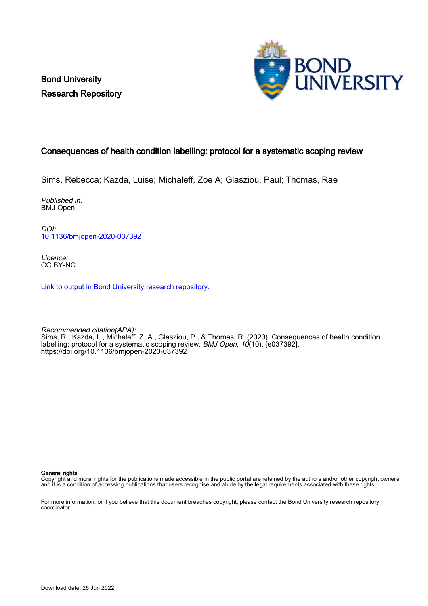Bond University Research Repository



# Consequences of health condition labelling: protocol for a systematic scoping review

Sims, Rebecca; Kazda, Luise; Michaleff, Zoe A; Glasziou, Paul; Thomas, Rae

Published in: BMJ Open

DOI: [10.1136/bmjopen-2020-037392](https://doi.org/10.1136/bmjopen-2020-037392)

Licence: CC BY-NC

[Link to output in Bond University research repository.](https://research.bond.edu.au/en/publications/afedf2f5-2520-408e-9f7f-337728d1b3cb)

Recommended citation(APA): Sims, R., Kazda, L., Michaleff, Z. A., Glasziou, P., & Thomas, R. (2020). Consequences of health condition labelling: protocol for a systematic scoping review. BMJ Open, 10(10), [e037392]. <https://doi.org/10.1136/bmjopen-2020-037392>

General rights

Copyright and moral rights for the publications made accessible in the public portal are retained by the authors and/or other copyright owners and it is a condition of accessing publications that users recognise and abide by the legal requirements associated with these rights.

For more information, or if you believe that this document breaches copyright, please contact the Bond University research repository coordinator.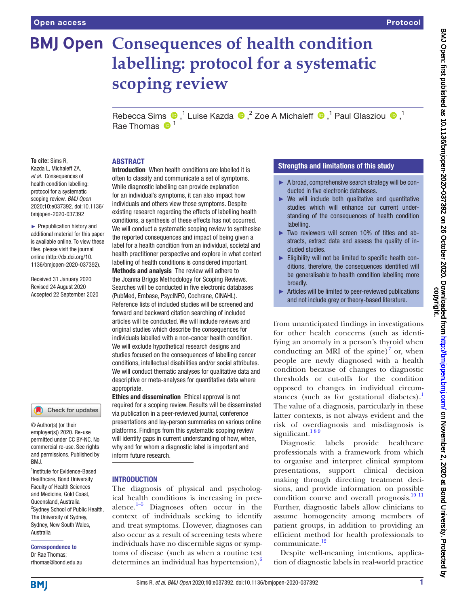# **BMJ Open Consequences of health condition labelling: protocol for a systematic scoping review**

RebeccaSims  $\bigcirc$ ,<sup>1</sup> Luise Kazda  $\bigcirc$ ,<sup>2</sup> Zoe A Michaleff  $\bigcirc$ ,<sup>1</sup> Paul Glasziou  $\bigcirc$ ,<sup>1</sup> Rae Thomas  $\mathbf{0}^1$ 

#### ABSTRACT

**To cite:** Sims R, Kazda L, Michaleff ZA, *et al*. Consequences of health condition labelling: protocol for a systematic scoping review. *BMJ Open* 2020;10:e037392. doi:10.1136/ bmjopen-2020-037392

► Prepublication history and additional material for this paper is available online. To view these files, please visit the journal online (http://dx.doi.org/10. 1136/bmjopen-2020-037392).

Received 31 January 2020 Revised 24 August 2020 Accepted 22 September 2020

#### Check for updates

© Author(s) (or their employer(s)) 2020. Re-use permitted under CC BY-NC. No commercial re-use. See rights and permissions. Published by BMJ.

1 Institute for Evidence-Based Healthcare, Bond University Faculty of Health Sciences and Medicine, Gold Coast, Queensland, Australia <sup>2</sup>Sydney School of Public Health, The University of Sydney, Sydney, New South Wales, Australia

Correspondence to Dr Rae Thomas; rthomas@bond.edu.au

Introduction When health conditions are labelled it is often to classify and communicate a set of symptoms. While diagnostic labelling can provide explanation for an individual's symptoms, it can also impact how individuals and others view those symptoms. Despite existing research regarding the effects of labelling health conditions, a synthesis of these effects has not occurred. We will conduct a systematic scoping review to synthesise the reported consequences and impact of being given a label for a health condition from an individual, societal and health practitioner perspective and explore in what context labelling of health conditions is considered important. Methods and analysis The review will adhere to the Joanna Briggs Methodology for Scoping Reviews. Searches will be conducted in five electronic databases (PubMed, Embase, PsycINFO, Cochrane, CINAHL). Reference lists of included studies will be screened and forward and backward citation searching of included articles will be conducted. We will include reviews and original studies which describe the consequences for individuals labelled with a non-cancer health condition. We will exclude hypothetical research designs and studies focused on the consequences of labelling cancer conditions, intellectual disabilities and/or social attributes. We will conduct thematic analyses for qualitative data and descriptive or meta-analyses for quantitative data where appropriate.

Ethics and dissemination Ethical approval is not required for a scoping review. Results will be disseminated via publication in a peer-reviewed journal, conference presentations and lay-person summaries on various online platforms. Findings from this systematic scoping review will identify gaps in current understanding of how, when, why and for whom a diagnostic label is important and inform future research.

#### INTRODUCTION

The diagnosis of physical and psychological health conditions is increasing in prevalence. $1-5$  Diagnoses often occur in the context of individuals seeking to identify and treat symptoms. However, diagnoses can also occur as a result of screening tests where individuals have no discernible signs or symptoms of disease (such as when a routine test determines an individual has hypertension), $\frac{6}{3}$  $\frac{6}{3}$  $\frac{6}{3}$ 

#### Strengths and limitations of this study

- ► A broad, comprehensive search strategy will be conducted in five electronic databases.
- $\triangleright$  We will include both qualitative and quantitative studies which will enhance our current understanding of the consequences of health condition labelling.
- ► Two reviewers will screen 10% of titles and abstracts, extract data and assess the quality of included studies.
- Eligibility will not be limited to specific health conditions, therefore, the consequences identified will be generalisable to health condition labelling more broadly.
- ► Articles will be limited to peer-reviewed publications and not include grey or theory-based literature.

from unanticipated findings in investigations for other health concerns (such as identifying an anomaly in a person's thyroid when conducting an MRI of the spine) $\frac{7}{7}$  $\frac{7}{7}$  $\frac{7}{7}$  or, when people are newly diagnosed with a health condition because of changes to diagnostic thresholds or cut-offs for the condition opposed to changes in individual circumstances (such as for gestational diabetes).<sup>1</sup> The value of a diagnosis, particularly in these latter contexts, is not always evident and the risk of overdiagnosis and misdiagnosis is significant. $189$ 

Diagnostic labels provide healthcare professionals with a framework from which to organise and interpret clinical symptom presentations, support clinical decision making through directing treatment decisions, and provide information on possible condition course and overall prognosis.<sup>[10 11](#page-5-3)</sup> Further, diagnostic labels allow clinicians to assume homogeneity among members of patient groups, in addition to providing an efficient method for health professionals to communicate.<sup>[12](#page-5-4)</sup>

Despite well-meaning intentions, application of diagnostic labels in real-world practice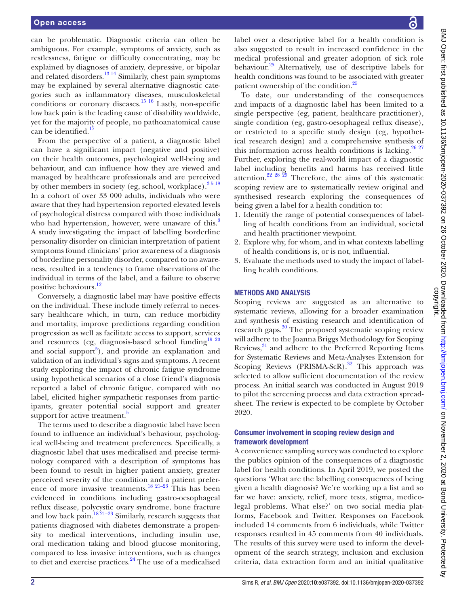can be problematic. Diagnostic criteria can often be ambiguous. For example, symptoms of anxiety, such as restlessness, fatigue or difficulty concentrating, may be explained by diagnoses of anxiety, depressive, or bipolar and related disorders.<sup>13 14</sup> Similarly, chest pain symptoms may be explained by several alternative diagnostic categories such as inflammatory diseases, musculoskeletal conditions or coronary diseases.<sup>15 16</sup> Lastly, non-specific low back pain is the leading cause of disability worldwide, yet for the majority of people, no pathoanatomical cause can be identified.<sup>[17](#page-6-1)</sup>

From the perspective of a patient, a diagnostic label can have a significant impact (negative and positive) on their health outcomes, psychological well-being and behaviour, and can influence how they are viewed and managed by healthcare professionals and are perceived by other members in society (eg, school, workplace). $3518$ In a cohort of over 33 000 adults, individuals who were aware that they had hypertension reported elevated levels of psychological distress compared with those individuals who had hypertension, however, were unaware of this.<sup>[3](#page-5-6)</sup> A study investigating the impact of labelling borderline personality disorder on clinician interpretation of patient symptoms found clinicians' prior awareness of a diagnosis of borderline personality disorder, compared to no awareness, resulted in a tendency to frame observations of the individual in terms of the label, and a failure to observe positive behaviours.<sup>[12](#page-5-4)</sup>

Conversely, a diagnostic label may have positive effects on the individual. These include timely referral to necessary healthcare which, in turn, can reduce morbidity and mortality, improve predictions regarding condition progression as well as facilitate access to support, services and resources (eg, diagnosis-based school funding $1920$ and social support<sup>[5](#page-5-7)</sup>), and provide an explanation and validation of an individual's signs and symptoms. A recent study exploring the impact of chronic fatigue syndrome using hypothetical scenarios of a close friend's diagnosis reported a label of chronic fatigue, compared with no label, elicited higher sympathetic responses from participants, greater potential social support and greater support for active treatment.<sup>5</sup>

The terms used to describe a diagnostic label have been found to influence an individual's behaviour, psychological well-being and treatment preferences. Specifically, a diagnostic label that uses medicalised and precise terminology compared with a description of symptoms has been found to result in higher patient anxiety, greater perceived severity of the condition and a patient preference of more invasive treatments[.18 21–23](#page-6-3) This has been evidenced in conditions including gastro-oesophageal reflux disease, polycystic ovary syndrome, bone fracture and low back pain.<sup>[18 21–23](#page-6-3)</sup> Similarly, research suggests that patients diagnosed with diabetes demonstrate a propensity to medical interventions, including insulin use, oral medication taking and blood glucose monitoring, compared to less invasive interventions, such as changes to diet and exercise practices.<sup>[24](#page-6-4)</sup> The use of a medicalised

label over a descriptive label for a health condition is also suggested to result in increased confidence in the medical professional and greater adoption of sick role behaviour.<sup>25</sup> Alternatively, use of descriptive labels for health conditions was found to be associated with greater patient ownership of the condition.<sup>25</sup>

To date, our understanding of the consequences and impacts of a diagnostic label has been limited to a single perspective (eg, patient, healthcare practitioner), single condition (eg, gastro-oesophageal reflux disease), or restricted to a specific study design (eg, hypothetical research design) and a comprehensive synthesis of this information across health conditions is lacking.<sup>26 27</sup> Further, exploring the real-world impact of a diagnostic label including benefits and harms has received little attention.<sup>22</sup> <sup>28</sup> <sup>29</sup> Therefore, the aims of this systematic scoping review are to systematically review original and synthesised research exploring the consequences of being given a label for a health condition to:

- 1. Identify the range of potential consequences of labelling of health conditions from an individual, societal and health practitioner viewpoint.
- 2. Explore why, for whom, and in what contexts labelling of health conditions is, or is not, influential.
- 3. Evaluate the methods used to study the impact of labelling health conditions.

#### METHODS AND ANALYSIS

Scoping reviews are suggested as an alternative to systematic reviews, allowing for a broader examination and synthesis of existing research and identification of research gaps.<sup>30</sup> The proposed systematic scoping review will adhere to the Joanna Briggs Methodology for Scoping Reviews, $31$  and adhere to the Preferred Reporting Items for Systematic Reviews and Meta-Analyses Extension for Scoping Reviews (PRISMA-ScR). $32$  This approach was selected to allow sufficient documentation of the review process. An initial search was conducted in August 2019 to pilot the screening process and data extraction spreadsheet. The review is expected to be complete by October 2020.

#### Consumer involvement in scoping review design and framework development

A convenience sampling survey was conducted to explore the publics opinion of the consequences of a diagnostic label for health conditions. In April 2019, we posted the questions 'What are the labelling consequences of being given a health diagnosis? We're working up a list and so far we have: anxiety, relief, more tests, stigma, medicolegal problems. What else?' on two social media platforms, Facebook and Twitter. Responses on Facebook included 14 comments from 6 individuals, while Twitter responses resulted in 45 comments from 40 individuals. The results of this survey were used to inform the development of the search strategy, inclusion and exclusion criteria, data extraction form and an initial qualitative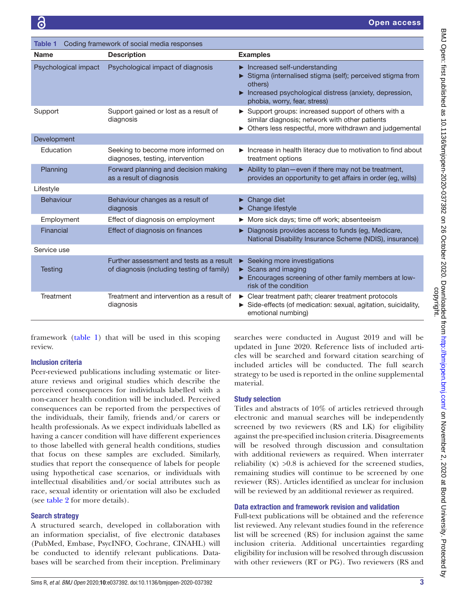<span id="page-3-0"></span>

| Coding framework of social media responses<br><b>Table 1</b> |                                                                                        |                                                                                                                                                                                                |  |
|--------------------------------------------------------------|----------------------------------------------------------------------------------------|------------------------------------------------------------------------------------------------------------------------------------------------------------------------------------------------|--|
| <b>Name</b>                                                  | <b>Description</b>                                                                     | <b>Examples</b>                                                                                                                                                                                |  |
| Psychological impact                                         | Psychological impact of diagnosis                                                      | Increased self-understanding<br>Stigma (internalised stigma (self); perceived stigma from<br>others)<br>Increased psychological distress (anxiety, depression,<br>phobia, worry, fear, stress) |  |
| Support                                                      | Support gained or lost as a result of<br>diagnosis                                     | Support groups: increased support of others with a<br>similar diagnosis; network with other patients<br>> Others less respectful, more withdrawn and judgemental                               |  |
| Development                                                  |                                                                                        |                                                                                                                                                                                                |  |
| Education                                                    | Seeking to become more informed on<br>diagnoses, testing, intervention                 | Increase in health literacy due to motivation to find about<br>treatment options                                                                                                               |  |
| Planning                                                     | Forward planning and decision making<br>as a result of diagnosis                       | Ability to plan-even if there may not be treatment,<br>provides an opportunity to get affairs in order (eg, wills)                                                                             |  |
| Lifestyle                                                    |                                                                                        |                                                                                                                                                                                                |  |
| Behaviour                                                    | Behaviour changes as a result of<br>diagnosis                                          | $\blacktriangleright$ Change diet<br>Change lifestyle                                                                                                                                          |  |
| Employment                                                   | Effect of diagnosis on employment                                                      | ▶ More sick days; time off work; absenteeism                                                                                                                                                   |  |
| Financial                                                    | Effect of diagnosis on finances                                                        | Diagnosis provides access to funds (eg, Medicare,<br>National Disability Insurance Scheme (NDIS), insurance)                                                                                   |  |
| Service use                                                  |                                                                                        |                                                                                                                                                                                                |  |
| Testing                                                      | Further assessment and tests as a result<br>of diagnosis (including testing of family) | $\triangleright$ Seeking more investigations<br>$\triangleright$ Scans and imaging<br>Encourages screening of other family members at low-<br>risk of the condition                            |  |
| <b>Treatment</b>                                             | Treatment and intervention as a result of<br>diagnosis                                 | • Clear treatment path; clearer treatment protocols<br>Side-effects (of medication: sexual, agitation, suicidality,<br>emotional numbing)                                                      |  |

framework ([table](#page-3-0) 1) that will be used in this scoping review.

#### Inclusion criteria

Peer-reviewed publications including systematic or literature reviews and original studies which describe the perceived consequences for individuals labelled with a non-cancer health condition will be included. Perceived consequences can be reported from the perspectives of the individuals, their family, friends and/or carers or health professionals. As we expect individuals labelled as having a cancer condition will have different experiences to those labelled with general health conditions, studies that focus on these samples are excluded. Similarly, studies that report the consequence of labels for people using hypothetical case scenarios, or individuals with intellectual disabilities and/or social attributes such as race, sexual identity or orientation will also be excluded (see [table](#page-4-0) 2 for more details).

#### Search strategy

A structured search, developed in collaboration with an information specialist, of five electronic databases (PubMed, Embase, PsycINFO, Cochrane, CINAHL) will be conducted to identify relevant publications. Databases will be searched from their inception. Preliminary

searches were conducted in August 2019 and will be updated in June 2020. Reference lists of included articles will be searched and forward citation searching of included articles will be conducted. The full search strategy to be used is reported in the [online supplemental](https://dx.doi.org/10.1136/bmjopen-2020-037392)  [material.](https://dx.doi.org/10.1136/bmjopen-2020-037392)

#### Study selection

Titles and abstracts of 10% of articles retrieved through electronic and manual searches will be independently screened by two reviewers (RS and LK) for eligibility against the pre-specified inclusion criteria. Disagreements will be resolved through discussion and consultation with additional reviewers as required. When interrater reliability  $(\kappa) > 0.8$  is achieved for the screened studies, remaining studies will continue to be screened by one reviewer (RS). Articles identified as unclear for inclusion will be reviewed by an additional reviewer as required.

#### Data extraction and framework revision and validation

Full-text publications will be obtained and the reference list reviewed. Any relevant studies found in the reference list will be screened (RS) for inclusion against the same inclusion criteria. Additional uncertainties regarding eligibility for inclusion will be resolved through discussion with other reviewers (RT or PG). Two reviewers (RS and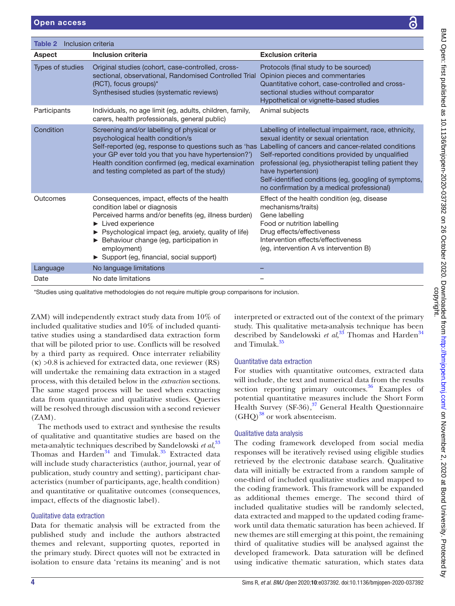<span id="page-4-0"></span>

| <b>Aspect</b>                                                                                     | <b>Inclusion criteria</b>                                                                                                                                                                                                                                                                                                                                   | <b>Exclusion criteria</b>                                                                                                                                                                                                                                                                                                                                                                        |  |
|---------------------------------------------------------------------------------------------------|-------------------------------------------------------------------------------------------------------------------------------------------------------------------------------------------------------------------------------------------------------------------------------------------------------------------------------------------------------------|--------------------------------------------------------------------------------------------------------------------------------------------------------------------------------------------------------------------------------------------------------------------------------------------------------------------------------------------------------------------------------------------------|--|
| Types of studies                                                                                  | Original studies (cohort, case-controlled, cross-<br>sectional, observational, Randomised Controlled Trial<br>(RCT), focus groups)*<br>Synthesised studies (systematic reviews)                                                                                                                                                                             | Protocols (final study to be sourced)<br>Opinion pieces and commentaries<br>Quantitative cohort, case-controlled and cross-<br>sectional studies without comparator<br>Hypothetical or vignette-based studies                                                                                                                                                                                    |  |
| Participants                                                                                      | Individuals, no age limit (eg, adults, children, family,<br>carers, health professionals, general public)                                                                                                                                                                                                                                                   | Animal subjects                                                                                                                                                                                                                                                                                                                                                                                  |  |
| Condition                                                                                         | Screening and/or labelling of physical or<br>psychological health condition/s<br>Self-reported (eg, response to questions such as 'has<br>your GP ever told you that you have hypertension?')<br>Health condition confirmed (eg, medical examination<br>and testing completed as part of the study)                                                         | Labelling of intellectual impairment, race, ethnicity,<br>sexual identity or sexual orientation<br>Labelling of cancers and cancer-related conditions<br>Self-reported conditions provided by unqualified<br>professional (eg, physiotherapist telling patient they<br>have hypertension)<br>Self-identified conditions (eg, googling of symptoms,<br>no confirmation by a medical professional) |  |
| Outcomes                                                                                          | Consequences, impact, effects of the health<br>condition label or diagnosis<br>Perceived harms and/or benefits (eg, illness burden)<br>$\blacktriangleright$ Lived experience<br>▶ Psychological impact (eg, anxiety, quality of life)<br>Behaviour change (eg, participation in<br>employment)<br>$\triangleright$ Support (eg, financial, social support) | Effect of the health condition (eg, disease<br>mechanisms/traits)<br>Gene labelling<br>Food or nutrition labelling<br>Drug effects/effectiveness<br>Intervention effects/effectiveness<br>(eg, intervention A vs intervention B)                                                                                                                                                                 |  |
| Language                                                                                          | No language limitations                                                                                                                                                                                                                                                                                                                                     |                                                                                                                                                                                                                                                                                                                                                                                                  |  |
| Date                                                                                              | No date limitations                                                                                                                                                                                                                                                                                                                                         |                                                                                                                                                                                                                                                                                                                                                                                                  |  |
| *Studies using qualitative methodologies do not require multiple group comparisons for inclusion. |                                                                                                                                                                                                                                                                                                                                                             |                                                                                                                                                                                                                                                                                                                                                                                                  |  |

ZAM) will independ included qualitative studies and 10% of included quantitative studies using a standardised data extraction form that will be piloted prior to use. Conflicts will be resolved by a third party as required. Once interrater reliability  $(k) > 0.8$  is achieved for extracted data, one reviewer  $(RS)$ will undertake the remaining data extraction in a staged process, with this detailed below in the *extraction* sections. The same staged process will be used when extracting data from quantitative and qualitative studies. Queries will be resolved through discussion with a second reviewer  $(ZAM)$ .

The methods used to extract and synthesise the results of qualitative and quantitative studies are based on the meta-analytic techniques described by Sandelowski *et al*, [33](#page-6-11) Thomas and Harden<sup>34</sup> and Timulak.<sup>35</sup> Extracted data will include study characteristics (author, journal, year of publication, study country and setting), participant characteristics (number of participants, age, health condition) and quantitative or qualitative outcomes (consequences, impact, effects of the diagnostic label).

# Qualitative data extraction

Data for thematic analysis will be extracted from the published study and include the authors abstracted themes and relevant, supporting quotes, reported in the primary study. Direct quotes will not be extracted in isolation to ensure data 'retains its meaning' and is not interpreted or extracted out of the context of the primary study. This qualitative meta-analysis technique has been described by Sandelowski *et al*,<sup>33</sup> Thomas and Harden<sup>[34](#page-6-12)</sup> and Timulak.<sup>[35](#page-6-13)</sup>

### Quantitative data extraction

For studies with quantitative outcomes, extracted data will include, the text and numerical data from the results section reporting primary outcomes. $36$  Examples of potential quantitative measures include the Short Form Health Survey (SF-36),<sup>37</sup> General Health Questionnaire  $(GHQ)^{38}$  or work absenteeism.

# Qualitative data analysis

The coding framework developed from social media responses will be iteratively revised using eligible studies retrieved by the electronic database search. Qualitative data will initially be extracted from a random sample of one-third of included qualitative studies and mapped to the coding framework. This framework will be expanded as additional themes emerge. The second third of included qualitative studies will be randomly selected, data extracted and mapped to the updated coding framework until data thematic saturation has been achieved. If new themes are still emerging at this point, the remaining third of qualitative studies will be analysed against the developed framework. Data saturation will be defined using indicative thematic saturation, which states data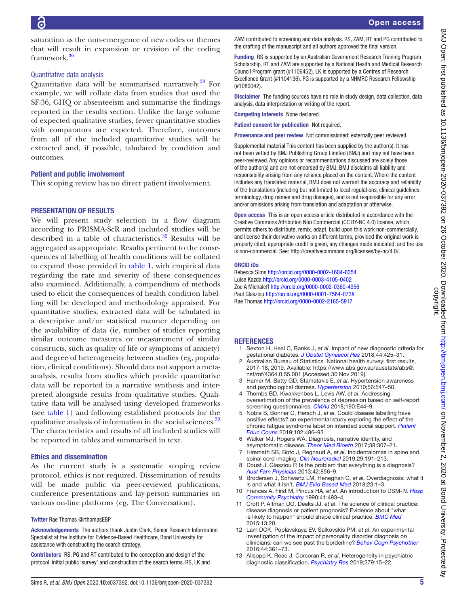saturation as the non-emergence of new codes or themes that will result in expansion or revision of the coding framework.[36](#page-6-14)

#### Quantitative data analysis

Quantitative data will be summarised narratively.<sup>33</sup> For example, we will collate data from studies that used the SF-36, GHQ or absenteeism and summarise the findings reported in the results section. Unlike the large volume of expected qualitative studies, fewer quantitative studies with comparators are expected. Therefore, outcomes from all of the included quantitative studies will be extracted and, if possible, tabulated by condition and outcomes.

#### Patient and public involvement

This scoping review has no direct patient involvement.

#### PRESENTATION OF RESULTS

We will present study selection in a flow diagram according to PRISMA-ScR and included studies will be described in a table of characteristics. $32$  Results will be aggregated as appropriate. Results pertinent to the consequences of labelling of health conditions will be collated to expand those provided in [table](#page-3-0) 1, with empirical data regarding the rate and severity of these consequences also examined. Additionally, a compendium of methods used to elicit the consequences of health condition labelling will be developed and methodology appraised. For quantitative studies, extracted data will be tabulated in a descriptive and/or statistical manner depending on the availability of data (ie, number of studies reporting similar outcome measures or measurement of similar constructs, such as quality of life or symptoms of anxiety) and degree of heterogeneity between studies (eg, population, clinical conditions). Should data not support a metaanalysis, results from studies which provide quantitative data will be reported in a narrative synthesis and interpreted alongside results from qualitative studies. Qualitative data will be analysed using developed frameworks (see [table](#page-3-0) 1) and following established protocols for the qualitative analysis of information in the social sciences.<sup>39</sup> The characteristics and results of all included studies will be reported in tables and summarised in text.

#### Ethics and dissemination

As the current study is a systematic scoping review protocol, ethics is not required. Dissemination of results will be made public via peer-reviewed publications, conference presentations and lay-person summaries on various on-line platforms (eg, The Conversation).

#### Twitter Rae Thomas [@rthomasEBP](https://twitter.com/rthomasEBP)

Acknowledgements The authors thank Justin Clark, Senior Research Information Specialist at the Institute for Evidence-Based Healthcare, Bond University for assistance with constructing the search strategy.

Contributors RS, PG and RT contributed to the conception and design of the protocol, initial public 'survey' and construction of the search terms. RS, LK and

ORCID iDs

(#1080042).

<span id="page-5-0"></span>**REFERENCES** 1 Sexton H, Heal C, Banks J, *et al*. Impact of new diagnostic criteria for gestational diabetes. *[J Obstet Gynaecol Res](http://dx.doi.org/10.1111/jog.13544)* 2018;44:425–31.

ZAM contributed to screening and data analysis. RS, ZAM, RT and PG contributed to the drafting of the manuscript and all authors approved the final version.

Funding RS is supported by an Australian Government Research Training Program Scholarship. RT and ZAM are supported by a National Health and Medical Research Council Program grant (#1106452). LK is supported by a Centres of Research Excellence Grant (#1104136). PG is supported by a NHMRC Research Fellowship

Disclaimer The funding sources have no role in study design, data collection, data

Provenance and peer review Not commissioned; externally peer reviewed. Supplemental material This content has been supplied by the author(s). It has not been vetted by BMJ Publishing Group Limited (BMJ) and may not have been peer-reviewed. Any opinions or recommendations discussed are solely those of the author(s) and are not endorsed by BMJ. BMJ disclaims all liability and responsibility arising from any reliance placed on the content. Where the content includes any translated material, BMJ does not warrant the accuracy and reliability of the translations (including but not limited to local regulations, clinical guidelines, terminology, drug names and drug dosages), and is not responsible for any error and/or omissions arising from translation and adaptation or otherwise. Open access This is an open access article distributed in accordance with the Creative Commons Attribution Non Commercial (CC BY-NC 4.0) license, which permits others to distribute, remix, adapt, build upon this work non-commercially, and license their derivative works on different terms, provided the original work is properly cited, appropriate credit is given, any changes made indicated, and the use is non-commercial. See: [http://creativecommons.org/licenses/by-nc/4.0/.](http://creativecommons.org/licenses/by-nc/4.0/)

analysis, data interpretation or writing of the report.

Rebecca Sims <http://orcid.org/0000-0002-1604-8354> Luise Kazda<http://orcid.org/0000-0003-4105-0402> Zoe A Michaleff<http://orcid.org/0000-0002-0360-4956> Paul Glasziou<http://orcid.org/0000-0001-7564-073X> Rae Thomas <http://orcid.org/0000-0002-2165-5917>

Competing interests None declared. Patient consent for publication Not required.

- Australian Bureau of Statistics. National health survey: first results, 2017-18, 2019. Available: [https://www.abs.gov.au/ausstats/abs@.](https://www.abs.gov.au/ausstats/abs@.nsf/mf/4364.0.55.001) [nsf/mf/4364.0.55.001](https://www.abs.gov.au/ausstats/abs@.nsf/mf/4364.0.55.001) [Accessed 30 Nov 2019].
- <span id="page-5-6"></span>3 Hamer M, Batty GD, Stamatakis E, *et al*. Hypertension awareness and psychological distress. *[Hypertension](http://dx.doi.org/10.1161/HYPERTENSIONAHA.110.153775)* 2010;56:547–50.
- 4 Thombs BD, Kwakkenbos L, Levis AW, *et al*. Addressing overestimation of the prevalence of depression based on self-report screening questionnaires. *[CMAJ](http://dx.doi.org/10.1503/cmaj.170691)* 2018;190:E44–9.
- <span id="page-5-7"></span>5 Noble S, Bonner C, Hersch J, *et al*. Could disease labelling have positive effects? an experimental study exploring the effect of the chronic fatigue syndrome label on intended social support. *[Patient](http://dx.doi.org/10.1016/j.pec.2018.10.011)  [Educ Couns](http://dx.doi.org/10.1016/j.pec.2018.10.011)* 2019;102:486–93.
- <span id="page-5-1"></span>6 Walker MJ, Rogers WA. Diagnosis, narrative identity, and asymptomatic disease. *[Theor Med Bioeth](http://dx.doi.org/10.1007/s11017-017-9412-1)* 2017;38:307–21.
- <span id="page-5-2"></span>7 Hiremath SB, Boto J, Regnaud A, *et al*. Incidentalomas in spine and spinal cord imaging. *[Clin Neuroradiol](http://dx.doi.org/10.1007/s00062-019-00773-5)* 2019;29:191–213.
- Doust J, Glasziou P. Is the problem that everything is a diagnosis? *[Aust Fam Physician](http://www.ncbi.nlm.nih.gov/pubmed/http://www.ncbi.nlm.nih.gov/pubmed/24324985)* 2013;42:856–9.
- 9 Brodersen J, Schwartz LM, Heneghan C, *et al*. Overdiagnosis: what it is and what it isn't. *[BMJ Evid Based Med](http://dx.doi.org/10.1136/ebmed-2017-110886)* 2018;23:1–3.
- <span id="page-5-3"></span>10 Frances A, First M, Pincus HA, *et al*. An introduction to DSM-IV. *[Hosp](http://dx.doi.org/10.1176/ps.41.5.493)  [Community Psychiatry](http://dx.doi.org/10.1176/ps.41.5.493)* 1990;41:493–4.
- 11 Croft P, Altman DG, Deeks JJ, *et al*. The science of clinical practice: disease diagnosis or patient prognosis? Evidence about "what is likely to happen" should shape clinical practice. *[BMC Med](http://dx.doi.org/10.1186/s12916-014-0265-4)* 2015;13:20.
- <span id="page-5-4"></span>12 Lam DCK, Poplavskaya EV, Salkovskis PM, *et al*. An experimental investigation of the impact of personality disorder diagnosis on clinicians: can we see past the borderline? *[Behav Cogn Psychother](http://dx.doi.org/10.1017/S1352465815000351)* 2016;44:361–73.
- <span id="page-5-5"></span>13 Allsopp K, Read J, Corcoran R, *et al*. Heterogeneity in psychiatric diagnostic classification. *[Psychiatry Res](http://dx.doi.org/10.1016/j.psychres.2019.07.005)* 2019;279:15–22.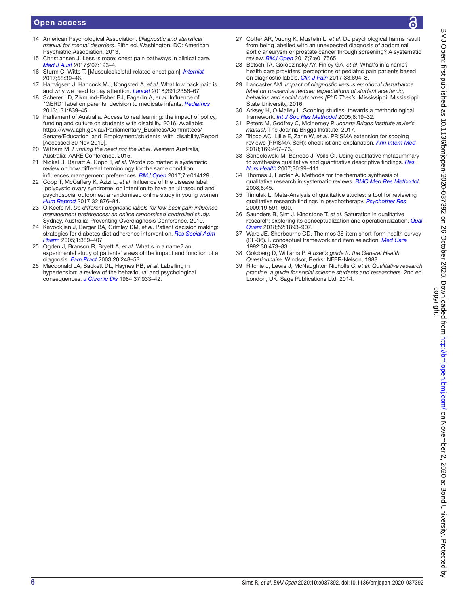#### Open access

- 14 American Psychological Association. *Diagnostic and statistical manual for mental disorders*. Fifth ed. Washington, DC: American Psychiatric Association, 2013.
- <span id="page-6-0"></span>15 Christiansen J. Less is more: chest pain pathways in clinical care. *[Med J Aust](http://dx.doi.org/10.5694/mja17.00331)* 2017;207:193–4.
- 16 Sturm C, Witte T. [Musculoskeletal-related chest pain]. *[Internist](http://dx.doi.org/10.1007/s00108-016-0166-z)* 2017;58:39–46.
- <span id="page-6-1"></span>17 Hartvigsen J, Hancock MJ, Kongsted A, *et al*. What low back pain is and why we need to pay attention. *[Lancet](http://dx.doi.org/10.1016/S0140-6736(18)30480-X)* 2018;391:2356–67.
- <span id="page-6-3"></span>18 Scherer LD, Zikmund-Fisher BJ, Fagerlin A, *et al*. Influence of "GERD" label on parents' decision to medicate infants. *[Pediatrics](http://dx.doi.org/10.1542/peds.2012-3070)* 2013;131:839–45.
- <span id="page-6-2"></span>19 Parliament of Australia. Access to real learning: the impact of policy, funding and culture on students with disability, 2016. Available: [https://www.aph.gov.au/Parliamentary\\_Business/Committees/](https://www.aph.gov.au/Parliamentary_Business/Committees/Senate/Education_and_Employment/students_with_disability/Report) [Senate/Education\\_and\\_Employment/students\\_with\\_disability/Report](https://www.aph.gov.au/Parliamentary_Business/Committees/Senate/Education_and_Employment/students_with_disability/Report) [Accessed 30 Nov 2019].
- 20 Witham M. *Funding the need not the label*. Western Australia, Australia: AARE Conference, 2015.
- 21 Nickel B, Barratt A, Copp T, *et al*. Words do matter: a systematic review on how different terminology for the same condition influences management preferences. *[BMJ Open](http://dx.doi.org/10.1136/bmjopen-2016-014129)* 2017;7:e014129.
- <span id="page-6-7"></span>22 Copp T, McCaffery K, Azizi L, *et al*. Influence of the disease label 'polycystic ovary syndrome' on intention to have an ultrasound and psychosocial outcomes: a randomised online study in young women. *[Hum Reprod](http://dx.doi.org/10.1093/humrep/dex029)* 2017;32:876–84.
- 23 O'Keefe M. *Do different diagnostic labels for low back pain influence management preferences: an online randomised controlled study*. Sydney, Australia: Preventing Overdiagnosis Conference, 2019.
- <span id="page-6-4"></span>24 Kavookjian J, Berger BA, Grimley DM, *et al*. Patient decision making: strategies for diabetes diet adherence intervention. *[Res Social Adm](http://dx.doi.org/10.1016/j.sapharm.2005.06.006)  [Pharm](http://dx.doi.org/10.1016/j.sapharm.2005.06.006)* 2005;1:389–407.
- <span id="page-6-5"></span>25 Ogden J, Branson R, Bryett A, *et al*. What's in a name? an experimental study of patients' views of the impact and function of a diagnosis. *[Fam Pract](http://dx.doi.org/10.1093/fampra/cmg304)* 2003;20:248–53.
- <span id="page-6-6"></span>26 Macdonald LA, Sackett DL, Haynes RB, *et al*. Labelling in hypertension: a review of the behavioural and psychological consequences. *[J Chronic Dis](http://dx.doi.org/10.1016/0021-9681(84)90070-5)* 1984;37:933–42.
- 27 Cotter AR, Vuong K, Mustelin L, *et al*. Do psychological harms result from being labelled with an unexpected diagnosis of abdominal aortic aneurysm or prostate cancer through screening? A systematic review. *[BMJ Open](http://dx.doi.org/10.1136/bmjopen-2017-017565)* 2017;7:e017565.
- 28 Betsch TA, Gorodzinsky AY, Finley GA, *et al*. What's in a name? health care providers' perceptions of pediatric pain patients based on diagnostic labels. *[Clin J Pain](http://dx.doi.org/10.1097/AJP.0000000000000454)* 2017;33:694–8.
- 29 Lancaster AM. *Impact of diagnostic versus emotional disturbance label on preservice teacher expectations of student academic, behavior, and social outcomes [PhD Thesis*. Mississippi: Mississippi State University, 2016.
- <span id="page-6-8"></span>30 Arksey H, O'Malley L. Scoping studies: towards a methodological framework. *[Int J Soc Res Methodol](http://dx.doi.org/10.1080/1364557032000119616)* 2005;8:19–32.
- <span id="page-6-9"></span>31 Peters M, Godfrey C, McInerney P. *Joanna Briggs Institute revier's manual*. The Joanna Briggs Institute, 2017.
- <span id="page-6-10"></span>32 Tricco AC, Lillie E, Zarin W, *et al*. PRISMA extension for scoping reviews (PRISMA-ScR): checklist and explanation. *[Ann Intern Med](http://dx.doi.org/10.7326/M18-0850)* 2018;169:467–73.
- <span id="page-6-11"></span>33 Sandelowski M, Barroso J, Voils CI. Using qualitative metasummary to synthesize qualitative and quantitative descriptive findings. *[Res](http://dx.doi.org/10.1002/nur.20176)  [Nurs Health](http://dx.doi.org/10.1002/nur.20176)* 2007;30:99–111.
- <span id="page-6-12"></span>34 Thomas J, Harden A. Methods for the thematic synthesis of qualitative research in systematic reviews. *[BMC Med Res Methodol](http://dx.doi.org/10.1186/1471-2288-8-45)* 2008;8:45.
- <span id="page-6-13"></span>35 Timulak L. Meta-Analysis of qualitative studies: a tool for reviewing qualitative research findings in psychotherapy. *[Psychother Res](http://dx.doi.org/10.1080/10503300802477989)* 2009;19:591–600.
- <span id="page-6-14"></span>36 Saunders B, Sim J, Kingstone T, *et al*. Saturation in qualitative research: exploring its conceptualization and operationalization. *[Qual](http://dx.doi.org/10.1007/s11135-017-0574-8)  [Quant](http://dx.doi.org/10.1007/s11135-017-0574-8)* 2018;52:1893–907.
- <span id="page-6-15"></span>37 Ware JE, Sherbourne CD. The mos 36-item short-form health survey (SF-36). I. conceptual framework and item selection. *[Med Care](http://www.ncbi.nlm.nih.gov/pubmed/http://www.ncbi.nlm.nih.gov/pubmed/1593914)* 1992;30:473–83.
- <span id="page-6-16"></span>38 Goldberg D, Williams P. *A user's guide to the General Health Questionnaire*. Windsor, Berks: NFER-Nelson, 1988.
- <span id="page-6-17"></span>39 Ritchie J, Lewis J, McNaughton Nicholls C, *et al*. *Qualitative research practice: a guide for social science students and researchers*. 2nd ed. London, UK: Sage Publications Ltd, 2014.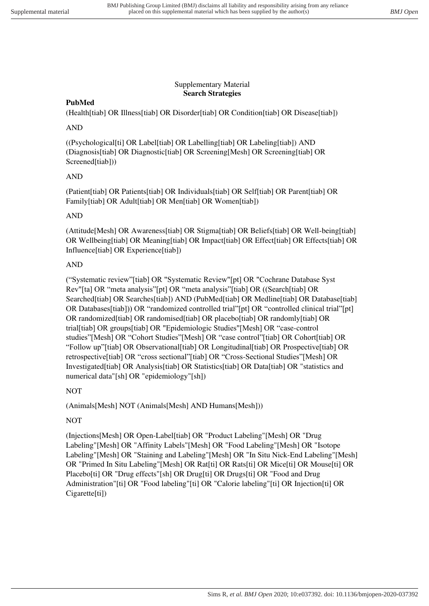### Supplementary Material **Search Strategies**

# **PubMed**

(Health[tiab] OR Illness[tiab] OR Disorder[tiab] OR Condition[tiab] OR Disease[tiab])

# AND

((Psychological[ti] OR Label[tiab] OR Labelling[tiab] OR Labeling[tiab]) AND (Diagnosis[tiab] OR Diagnostic[tiab] OR Screening[Mesh] OR Screening[tiab] OR Screened[tiab]))

# AND

(Patient[tiab] OR Patients[tiab] OR Individuals[tiab] OR Self[tiab] OR Parent[tiab] OR Family[tiab] OR Adult[tiab] OR Men[tiab] OR Women[tiab])

# AND

(Attitude[Mesh] OR Awareness[tiab] OR Stigma[tiab] OR Beliefs[tiab] OR Well-being[tiab] OR Wellbeing[tiab] OR Meaning[tiab] OR Impact[tiab] OR Effect[tiab] OR Effects[tiab] OR Influence[tiab] OR Experience[tiab])

# AND

("Systematic review"[tiab] OR "Systematic Review"[pt] OR "Cochrane Database Syst Rev"[ta] OR "meta analysis"[pt] OR "meta analysis"[tiab] OR ((Search[tiab] OR Searched[tiab] OR Searches[tiab]) AND (PubMed[tiab] OR Medline[tiab] OR Database[tiab] OR Databases[tiab])) OR "randomized controlled trial"[pt] OR "controlled clinical trial"[pt] OR randomized[tiab] OR randomised[tiab] OR placebo[tiab] OR randomly[tiab] OR trial[tiab] OR groups[tiab] OR "Epidemiologic Studies"[Mesh] OR "case-control studies"[Mesh] OR "Cohort Studies"[Mesh] OR "case control"[tiab] OR Cohort[tiab] OR "Follow up"[tiab] OR Observational[tiab] OR Longitudinal[tiab] OR Prospective[tiab] OR retrospective[tiab] OR "cross sectional"[tiab] OR "Cross-Sectional Studies"[Mesh] OR Investigated[tiab] OR Analysis[tiab] OR Statistics[tiab] OR Data[tiab] OR "statistics and numerical data"[sh] OR "epidemiology"[sh])

# NOT

(Animals[Mesh] NOT (Animals[Mesh] AND Humans[Mesh]))

# NOT

(Injections[Mesh] OR Open-Label[tiab] OR "Product Labeling"[Mesh] OR "Drug Labeling"[Mesh] OR "Affinity Labels"[Mesh] OR "Food Labeling"[Mesh] OR "Isotope Labeling"[Mesh] OR "Staining and Labeling"[Mesh] OR "In Situ Nick-End Labeling"[Mesh] OR "Primed In Situ Labeling"[Mesh] OR Rat[ti] OR Rats[ti] OR Mice[ti] OR Mouse[ti] OR Placebo[ti] OR "Drug effects"[sh] OR Drug[ti] OR Drugs[ti] OR "Food and Drug Administration"[ti] OR "Food labeling"[ti] OR "Calorie labeling"[ti] OR Injection[ti] OR Cigarette[ti])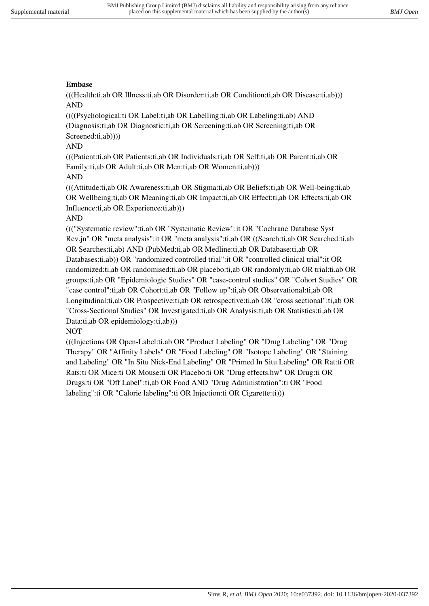### **Embase**

(((Health:ti,ab OR Illness:ti,ab OR Disorder:ti,ab OR Condition:ti,ab OR Disease:ti,ab))) AND

((((Psychological:ti OR Label:ti,ab OR Labelling:ti,ab OR Labeling:ti,ab) AND (Diagnosis:ti,ab OR Diagnostic:ti,ab OR Screening:ti,ab OR Screening:ti,ab OR Screened:ti,ab))))

### AND

(((Patient:ti,ab OR Patients:ti,ab OR Individuals:ti,ab OR Self:ti,ab OR Parent:ti,ab OR Family:ti,ab OR Adult:ti,ab OR Men:ti,ab OR Women:ti,ab)))

### AND

(((Attitude:ti,ab OR Awareness:ti,ab OR Stigma:ti,ab OR Beliefs:ti,ab OR Well-being:ti,ab OR Wellbeing:ti,ab OR Meaning:ti,ab OR Impact:ti,ab OR Effect:ti,ab OR Effects:ti,ab OR Influence:ti,ab OR Experience:ti,ab)))

### AND

((("Systematic review":ti,ab OR "Systematic Review":it OR "Cochrane Database Syst Rev.jn" OR "meta analysis":it OR "meta analysis":ti,ab OR ((Search:ti,ab OR Searched:ti,ab OR Searches:ti,ab) AND (PubMed:ti,ab OR Medline:ti,ab OR Database:ti,ab OR Databases:ti,ab)) OR "randomized controlled trial":it OR "controlled clinical trial":it OR randomized:ti,ab OR randomised:ti,ab OR placebo:ti,ab OR randomly:ti,ab OR trial:ti,ab OR groups:ti,ab OR "Epidemiologic Studies" OR "case-control studies" OR "Cohort Studies" OR "case control":ti,ab OR Cohort:ti,ab OR "Follow up":ti,ab OR Observational:ti,ab OR Longitudinal:ti,ab OR Prospective:ti,ab OR retrospective:ti,ab OR "cross sectional":ti,ab OR "Cross-Sectional Studies" OR Investigated:ti,ab OR Analysis:ti,ab OR Statistics:ti,ab OR Data:ti,ab OR epidemiology:ti,ab)))

### NOT

(((Injections OR Open-Label:ti,ab OR "Product Labeling" OR "Drug Labeling" OR "Drug Therapy" OR "Affinity Labels" OR "Food Labeling" OR "Isotope Labeling" OR "Staining and Labeling" OR "In Situ Nick-End Labeling" OR "Primed In Situ Labeling" OR Rat:ti OR Rats:ti OR Mice:ti OR Mouse:ti OR Placebo:ti OR "Drug effects.hw" OR Drug:ti OR Drugs:ti OR "Off Label":ti,ab OR Food AND "Drug Administration":ti OR "Food labeling":ti OR "Calorie labeling":ti OR Injection:ti OR Cigarette:ti)))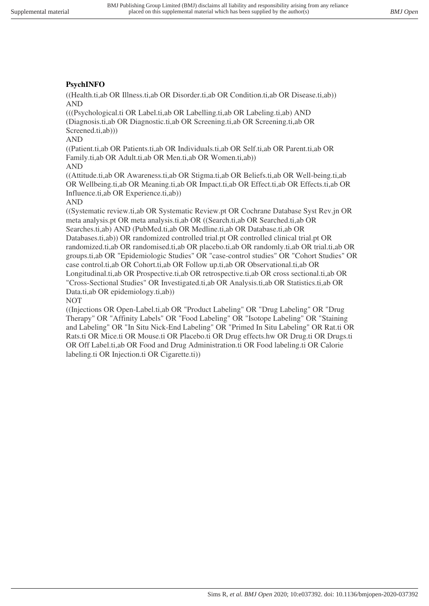### **PsychINFO**

((Health.ti,ab OR Illness.ti,ab OR Disorder.ti,ab OR Condition.ti,ab OR Disease.ti,ab)) AND

(((Psychological.ti OR Label.ti,ab OR Labelling.ti,ab OR Labeling.ti,ab) AND (Diagnosis.ti,ab OR Diagnostic.ti,ab OR Screening.ti,ab OR Screening.ti,ab OR Screened.ti,ab))

AND

((Patient.ti,ab OR Patients.ti,ab OR Individuals.ti,ab OR Self.ti,ab OR Parent.ti,ab OR Family.ti,ab OR Adult.ti,ab OR Men.ti,ab OR Women.ti,ab))

AND

((Attitude.ti,ab OR Awareness.ti,ab OR Stigma.ti,ab OR Beliefs.ti,ab OR Well-being.ti,ab OR Wellbeing.ti,ab OR Meaning.ti,ab OR Impact.ti,ab OR Effect.ti,ab OR Effects.ti,ab OR Influence.ti,ab OR Experience.ti,ab))

AND

((Systematic review.ti,ab OR Systematic Review.pt OR Cochrane Database Syst Rev.jn OR meta analysis.pt OR meta analysis.ti,ab OR ((Search.ti,ab OR Searched.ti,ab OR Searches.ti,ab) AND (PubMed.ti,ab OR Medline.ti,ab OR Database.ti,ab OR Databases.ti,ab)) OR randomized controlled trial.pt OR controlled clinical trial.pt OR randomized.ti,ab OR randomised.ti,ab OR placebo.ti,ab OR randomly.ti,ab OR trial.ti,ab OR groups.ti,ab OR "Epidemiologic Studies" OR "case-control studies" OR "Cohort Studies" OR case control.ti,ab OR Cohort.ti,ab OR Follow up.ti,ab OR Observational.ti,ab OR Longitudinal.ti,ab OR Prospective.ti,ab OR retrospective.ti,ab OR cross sectional.ti,ab OR "Cross-Sectional Studies" OR Investigated.ti,ab OR Analysis.ti,ab OR Statistics.ti,ab OR Data.ti,ab OR epidemiology.ti,ab))

NOT

((Injections OR Open-Label.ti,ab OR "Product Labeling" OR "Drug Labeling" OR "Drug Therapy" OR "Affinity Labels" OR "Food Labeling" OR "Isotope Labeling" OR "Staining and Labeling" OR "In Situ Nick-End Labeling" OR "Primed In Situ Labeling" OR Rat.ti OR Rats.ti OR Mice.ti OR Mouse.ti OR Placebo.ti OR Drug effects.hw OR Drug.ti OR Drugs.ti OR Off Label.ti,ab OR Food and Drug Administration.ti OR Food labeling.ti OR Calorie labeling.ti OR Injection.ti OR Cigarette.ti))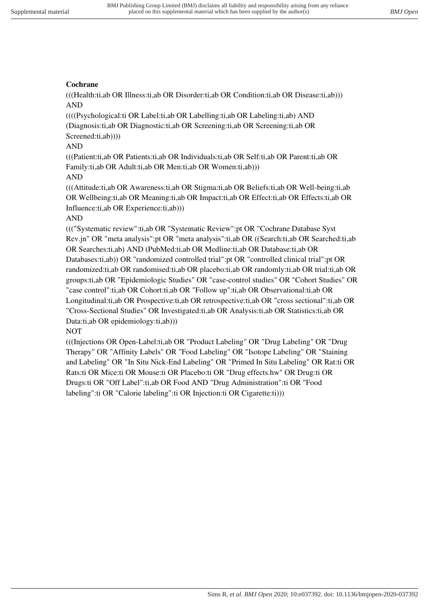### **Cochrane**

(((Health:ti,ab OR Illness:ti,ab OR Disorder:ti,ab OR Condition:ti,ab OR Disease:ti,ab))) AND

((((Psychological:ti OR Label:ti,ab OR Labelling:ti,ab OR Labeling:ti,ab) AND (Diagnosis:ti,ab OR Diagnostic:ti,ab OR Screening:ti,ab OR Screening:ti,ab OR Screened:ti,ab))))

### AND

(((Patient:ti,ab OR Patients:ti,ab OR Individuals:ti,ab OR Self:ti,ab OR Parent:ti,ab OR Family:ti,ab OR Adult:ti,ab OR Men:ti,ab OR Women:ti,ab)))

### AND

(((Attitude:ti,ab OR Awareness:ti,ab OR Stigma:ti,ab OR Beliefs:ti,ab OR Well-being:ti,ab OR Wellbeing:ti,ab OR Meaning:ti,ab OR Impact:ti,ab OR Effect:ti,ab OR Effects:ti,ab OR Influence:ti,ab OR Experience:ti,ab)))

### AND

((("Systematic review":ti,ab OR "Systematic Review":pt OR "Cochrane Database Syst Rev.jn" OR "meta analysis":pt OR "meta analysis":ti,ab OR ((Search:ti,ab OR Searched:ti,ab OR Searches:ti,ab) AND (PubMed:ti,ab OR Medline:ti,ab OR Database:ti,ab OR Databases:ti,ab)) OR "randomized controlled trial":pt OR "controlled clinical trial":pt OR randomized:ti,ab OR randomised:ti,ab OR placebo:ti,ab OR randomly:ti,ab OR trial:ti,ab OR groups:ti,ab OR "Epidemiologic Studies" OR "case-control studies" OR "Cohort Studies" OR "case control":ti,ab OR Cohort:ti,ab OR "Follow up":ti,ab OR Observational:ti,ab OR Longitudinal:ti,ab OR Prospective:ti,ab OR retrospective:ti,ab OR "cross sectional":ti,ab OR "Cross-Sectional Studies" OR Investigated:ti,ab OR Analysis:ti,ab OR Statistics:ti,ab OR Data:ti,ab OR epidemiology:ti,ab)))

### NOT

(((Injections OR Open-Label:ti,ab OR "Product Labeling" OR "Drug Labeling" OR "Drug Therapy" OR "Affinity Labels" OR "Food Labeling" OR "Isotope Labeling" OR "Staining and Labeling" OR "In Situ Nick-End Labeling" OR "Primed In Situ Labeling" OR Rat:ti OR Rats:ti OR Mice:ti OR Mouse:ti OR Placebo:ti OR "Drug effects.hw" OR Drug:ti OR Drugs:ti OR "Off Label":ti,ab OR Food AND "Drug Administration":ti OR "Food labeling":ti OR "Calorie labeling":ti OR Injection:ti OR Cigarette:ti)))